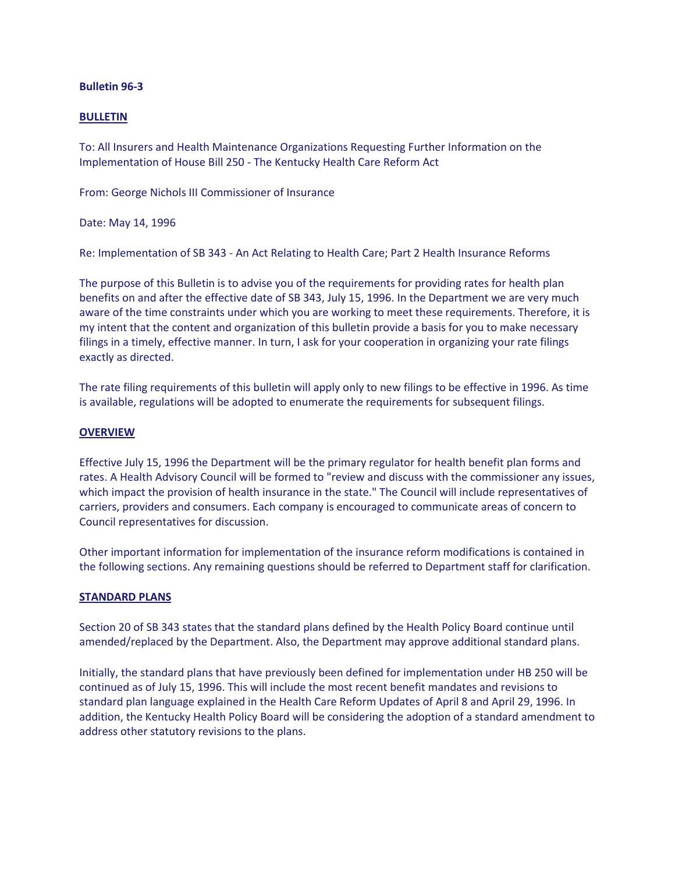### **Bulletin 96-3**

### **BULLETIN**

To: All Insurers and Health Maintenance Organizations Requesting Further Information on the Implementation of House Bill 250 - The Kentucky Health Care Reform Act

From: George Nichols III Commissioner of Insurance

Date: May 14, 1996

Re: Implementation of SB 343 - An Act Relating to Health Care; Part 2 Health Insurance Reforms

The purpose of this Bulletin is to advise you of the requirements for providing rates for health plan benefits on and after the effective date of SB 343, July 15, 1996. In the Department we are very much aware of the time constraints under which you are working to meet these requirements. Therefore, it is my intent that the content and organization of this bulletin provide a basis for you to make necessary filings in a timely, effective manner. In turn, I ask for your cooperation in organizing your rate filings exactly as directed.

The rate filing requirements of this bulletin will apply only to new filings to be effective in 1996. As time is available, regulations will be adopted to enumerate the requirements for subsequent filings.

## **OVERVIEW**

Effective July 15, 1996 the Department will be the primary regulator for health benefit plan forms and rates. A Health Advisory Council will be formed to "review and discuss with the commissioner any issues, which impact the provision of health insurance in the state." The Council will include representatives of carriers, providers and consumers. Each company is encouraged to communicate areas of concern to Council representatives for discussion.

Other important information for implementation of the insurance reform modifications is contained in the following sections. Any remaining questions should be referred to Department staff for clarification.

### **STANDARD PLANS**

Section 20 of SB 343 states that the standard plans defined by the Health Policy Board continue until amended/replaced by the Department. Also, the Department may approve additional standard plans.

Initially, the standard plans that have previously been defined for implementation under HB 250 will be continued as of July 15, 1996. This will include the most recent benefit mandates and revisions to standard plan language explained in the Health Care Reform Updates of April 8 and April 29, 1996. In addition, the Kentucky Health Policy Board will be considering the adoption of a standard amendment to address other statutory revisions to the plans.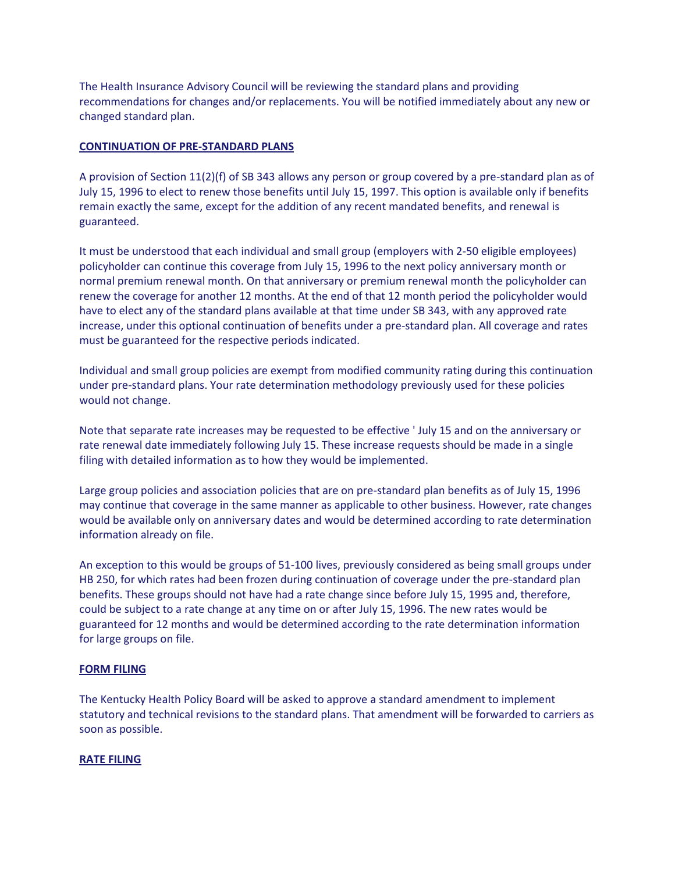The Health Insurance Advisory Council will be reviewing the standard plans and providing recommendations for changes and/or replacements. You will be notified immediately about any new or changed standard plan.

### **CONTINUATION OF PRE-STANDARD PLANS**

A provision of Section 11(2)(f) of SB 343 allows any person or group covered by a pre-standard plan as of July 15, 1996 to elect to renew those benefits until July 15, 1997. This option is available only if benefits remain exactly the same, except for the addition of any recent mandated benefits, and renewal is guaranteed.

It must be understood that each individual and small group (employers with 2-50 eligible employees) policyholder can continue this coverage from July 15, 1996 to the next policy anniversary month or normal premium renewal month. On that anniversary or premium renewal month the policyholder can renew the coverage for another 12 months. At the end of that 12 month period the policyholder would have to elect any of the standard plans available at that time under SB 343, with any approved rate increase, under this optional continuation of benefits under a pre-standard plan. All coverage and rates must be guaranteed for the respective periods indicated.

Individual and small group policies are exempt from modified community rating during this continuation under pre-standard plans. Your rate determination methodology previously used for these policies would not change.

Note that separate rate increases may be requested to be effective ' July 15 and on the anniversary or rate renewal date immediately following July 15. These increase requests should be made in a single filing with detailed information as to how they would be implemented.

Large group policies and association policies that are on pre-standard plan benefits as of July 15, 1996 may continue that coverage in the same manner as applicable to other business. However, rate changes would be available only on anniversary dates and would be determined according to rate determination information already on file.

An exception to this would be groups of 51-100 lives, previously considered as being small groups under HB 250, for which rates had been frozen during continuation of coverage under the pre-standard plan benefits. These groups should not have had a rate change since before July 15, 1995 and, therefore, could be subject to a rate change at any time on or after July 15, 1996. The new rates would be guaranteed for 12 months and would be determined according to the rate determination information for large groups on file.

### **FORM FILING**

The Kentucky Health Policy Board will be asked to approve a standard amendment to implement statutory and technical revisions to the standard plans. That amendment will be forwarded to carriers as soon as possible.

### **RATE FILING**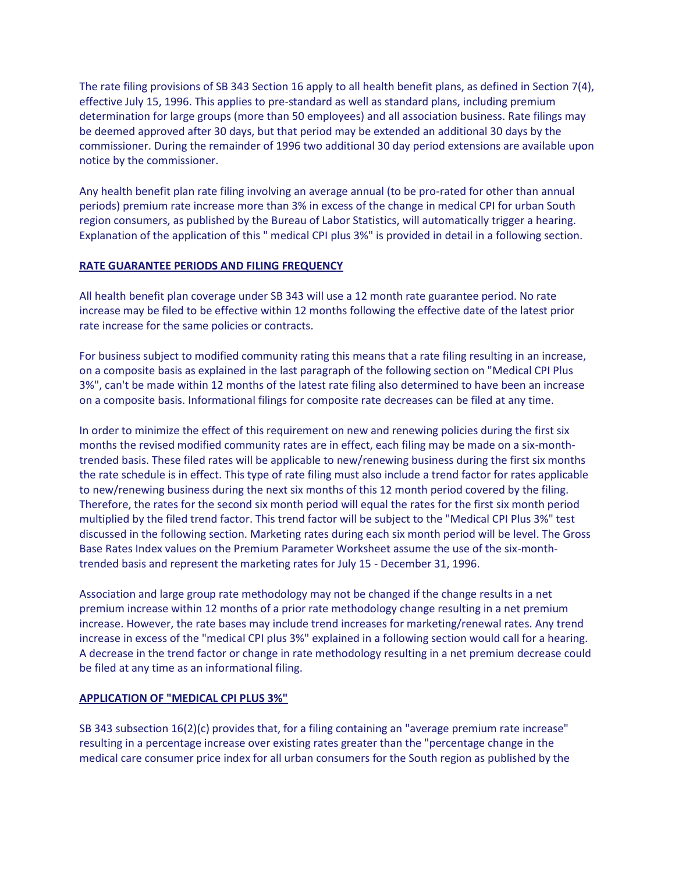The rate filing provisions of SB 343 Section 16 apply to all health benefit plans, as defined in Section 7(4), effective July 15, 1996. This applies to pre-standard as well as standard plans, including premium determination for large groups (more than 50 employees) and all association business. Rate filings may be deemed approved after 30 days, but that period may be extended an additional 30 days by the commissioner. During the remainder of 1996 two additional 30 day period extensions are available upon notice by the commissioner.

Any health benefit plan rate filing involving an average annual (to be pro-rated for other than annual periods) premium rate increase more than 3% in excess of the change in medical CPI for urban South region consumers, as published by the Bureau of Labor Statistics, will automatically trigger a hearing. Explanation of the application of this " medical CPI plus 3%" is provided in detail in a following section.

## **RATE GUARANTEE PERIODS AND FILING FREQUENCY**

All health benefit plan coverage under SB 343 will use a 12 month rate guarantee period. No rate increase may be filed to be effective within 12 months following the effective date of the latest prior rate increase for the same policies or contracts.

For business subject to modified community rating this means that a rate filing resulting in an increase, on a composite basis as explained in the last paragraph of the following section on "Medical CPI Plus 3%", can't be made within 12 months of the latest rate filing also determined to have been an increase on a composite basis. Informational filings for composite rate decreases can be filed at any time.

In order to minimize the effect of this requirement on new and renewing policies during the first six months the revised modified community rates are in effect, each filing may be made on a six-monthtrended basis. These filed rates will be applicable to new/renewing business during the first six months the rate schedule is in effect. This type of rate filing must also include a trend factor for rates applicable to new/renewing business during the next six months of this 12 month period covered by the filing. Therefore, the rates for the second six month period will equal the rates for the first six month period multiplied by the filed trend factor. This trend factor will be subject to the "Medical CPI Plus 3%" test discussed in the following section. Marketing rates during each six month period will be level. The Gross Base Rates Index values on the Premium Parameter Worksheet assume the use of the six-monthtrended basis and represent the marketing rates for July 15 - December 31, 1996.

Association and large group rate methodology may not be changed if the change results in a net premium increase within 12 months of a prior rate methodology change resulting in a net premium increase. However, the rate bases may include trend increases for marketing/renewal rates. Any trend increase in excess of the "medical CPI plus 3%" explained in a following section would call for a hearing. A decrease in the trend factor or change in rate methodology resulting in a net premium decrease could be filed at any time as an informational filing.

# **APPLICATION OF "MEDICAL CPI PLUS 3%"**

SB 343 subsection 16(2)(c) provides that, for a filing containing an "average premium rate increase" resulting in a percentage increase over existing rates greater than the "percentage change in the medical care consumer price index for all urban consumers for the South region as published by the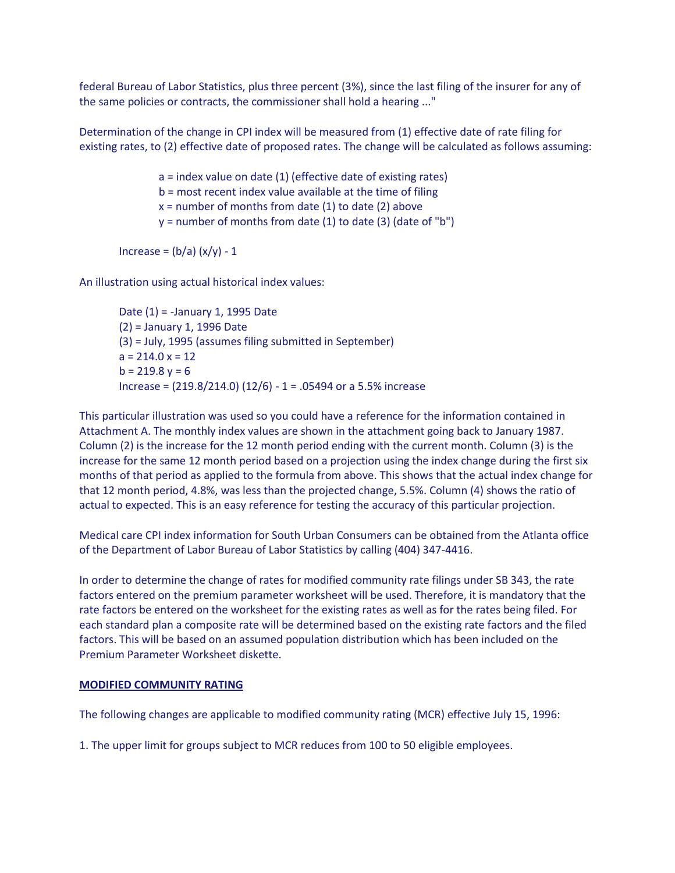federal Bureau of Labor Statistics, plus three percent (3%), since the last filing of the insurer for any of the same policies or contracts, the commissioner shall hold a hearing ..."

Determination of the change in CPI index will be measured from (1) effective date of rate filing for existing rates, to (2) effective date of proposed rates. The change will be calculated as follows assuming:

> a = index value on date (1) (effective date of existing rates) b = most recent index value available at the time of filing  $x =$  number of months from date (1) to date (2) above  $y =$  number of months from date (1) to date (3) (date of "b")

Increase =  $(b/a)(x/y) - 1$ 

An illustration using actual historical index values:

Date (1) = -January 1, 1995 Date (2) = January 1, 1996 Date (3) = July, 1995 (assumes filing submitted in September)  $a = 214.0 x = 12$  $b = 219.8$  y = 6 Increase = (219.8/214.0) (12/6) - 1 = .05494 or a 5.5% increase

This particular illustration was used so you could have a reference for the information contained in Attachment A. The monthly index values are shown in the attachment going back to January 1987. Column (2) is the increase for the 12 month period ending with the current month. Column (3) is the increase for the same 12 month period based on a projection using the index change during the first six months of that period as applied to the formula from above. This shows that the actual index change for that 12 month period, 4.8%, was less than the projected change, 5.5%. Column (4) shows the ratio of actual to expected. This is an easy reference for testing the accuracy of this particular projection.

Medical care CPI index information for South Urban Consumers can be obtained from the Atlanta office of the Department of Labor Bureau of Labor Statistics by calling (404) 347-4416.

In order to determine the change of rates for modified community rate filings under SB 343, the rate factors entered on the premium parameter worksheet will be used. Therefore, it is mandatory that the rate factors be entered on the worksheet for the existing rates as well as for the rates being filed. For each standard plan a composite rate will be determined based on the existing rate factors and the filed factors. This will be based on an assumed population distribution which has been included on the Premium Parameter Worksheet diskette.

### **MODIFIED COMMUNITY RATING**

The following changes are applicable to modified community rating (MCR) effective July 15, 1996:

1. The upper limit for groups subject to MCR reduces from 100 to 50 eligible employees.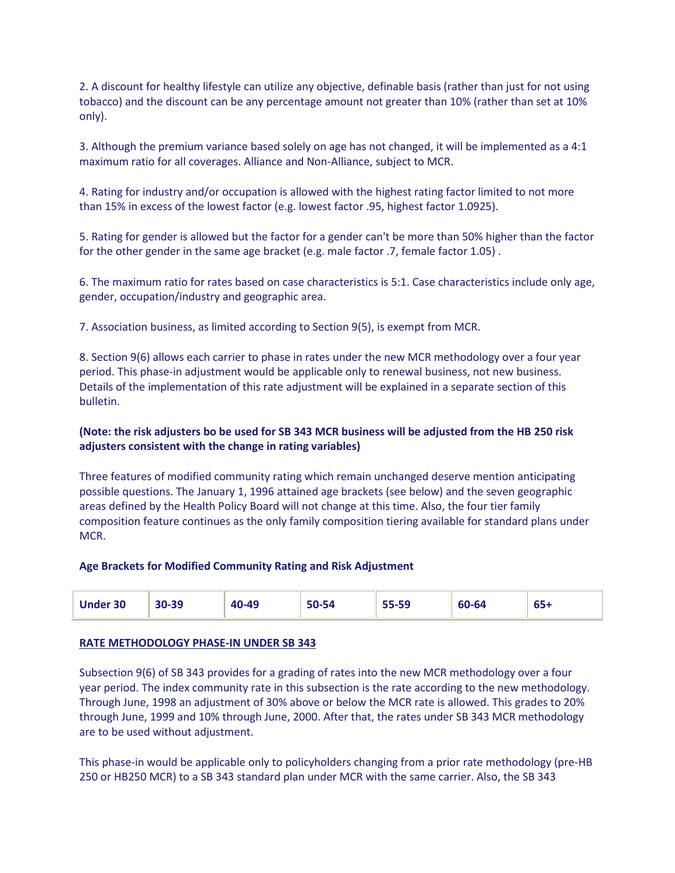2. A discount for healthy lifestyle can utilize any objective, definable basis (rather than just for not using tobacco) and the discount can be any percentage amount not greater than 10% (rather than set at 10% only).

3. Although the premium variance based solely on age has not changed, it will be implemented as a 4:1 maximum ratio for all coverages. Alliance and Non-Alliance, subject to MCR.

4. Rating for industry and/or occupation is allowed with the highest rating factor limited to not more than 15% in excess of the lowest factor (e.g. lowest factor .95, highest factor 1.0925).

5. Rating for gender is allowed but the factor for a gender can't be more than 50% higher than the factor for the other gender in the same age bracket (e.g. male factor .7, female factor 1.05) .

6. The maximum ratio for rates based on case characteristics is 5:1. Case characteristics include only age, gender, occupation/industry and geographic area.

7. Association business, as limited according to Section 9(5), is exempt from MCR.

8. Section 9(6) allows each carrier to phase in rates under the new MCR methodology over a four year period. This phase-in adjustment would be applicable only to renewal business, not new business. Details of the implementation of this rate adjustment will be explained in a separate section of this bulletin.

# **(Note: the risk adjusters bo be used for SB 343 MCR business will be adjusted from the HB 250 risk adjusters consistent with the change in rating variables)**

Three features of modified community rating which remain unchanged deserve mention anticipating possible questions. The January 1, 1996 attained age brackets (see below) and the seven geographic areas defined by the Health Policy Board will not change at this time. Also, the four tier family composition feature continues as the only family composition tiering available for standard plans under MCR.

### **Age Brackets for Modified Community Rating and Risk Adjustment**

| <b>Under 30</b> | 30-39 | 40-49 | $\sim$ $\sim$ $\sim$<br>-54<br>:-טכ | 55-59 | $\sim$ $\sim$ $\sim$<br>60-64 | $\sim$<br>כס' |
|-----------------|-------|-------|-------------------------------------|-------|-------------------------------|---------------|
|-----------------|-------|-------|-------------------------------------|-------|-------------------------------|---------------|

# **RATE METHODOLOGY PHASE-IN UNDER SB 343**

Subsection 9(6) of SB 343 provides for a grading of rates into the new MCR methodology over a four year period. The index community rate in this subsection is the rate according to the new methodology. Through June, 1998 an adjustment of 30% above or below the MCR rate is allowed. This grades to 20% through June, 1999 and 10% through June, 2000. After that, the rates under SB 343 MCR methodology are to be used without adjustment.

This phase-in would be applicable only to policyholders changing from a prior rate methodology (pre-HB 250 or HB250 MCR) to a SB 343 standard plan under MCR with the same carrier. Also, the SB 343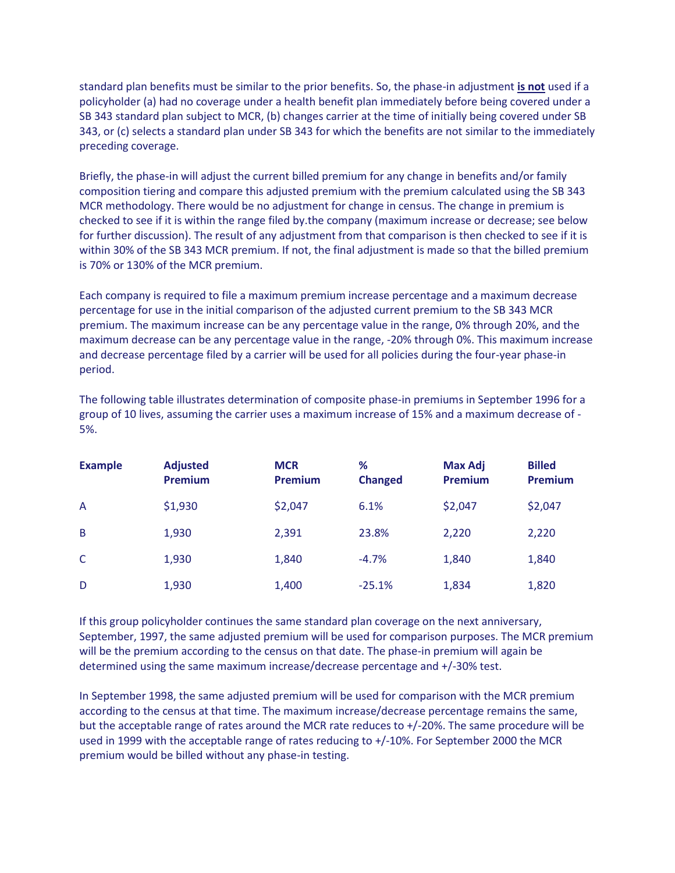standard plan benefits must be similar to the prior benefits. So, the phase-in adjustment **is not** used if a policyholder (a) had no coverage under a health benefit plan immediately before being covered under a SB 343 standard plan subject to MCR, (b) changes carrier at the time of initially being covered under SB 343, or (c) selects a standard plan under SB 343 for which the benefits are not similar to the immediately preceding coverage.

Briefly, the phase-in will adjust the current billed premium for any change in benefits and/or family composition tiering and compare this adjusted premium with the premium calculated using the SB 343 MCR methodology. There would be no adjustment for change in census. The change in premium is checked to see if it is within the range filed by.the company (maximum increase or decrease; see below for further discussion). The result of any adjustment from that comparison is then checked to see if it is within 30% of the SB 343 MCR premium. If not, the final adjustment is made so that the billed premium is 70% or 130% of the MCR premium.

Each company is required to file a maximum premium increase percentage and a maximum decrease percentage for use in the initial comparison of the adjusted current premium to the SB 343 MCR premium. The maximum increase can be any percentage value in the range, 0% through 20%, and the maximum decrease can be any percentage value in the range, -20% through 0%. This maximum increase and decrease percentage filed by a carrier will be used for all policies during the four-year phase-in period.

The following table illustrates determination of composite phase-in premiums in September 1996 for a group of 10 lives, assuming the carrier uses a maximum increase of 15% and a maximum decrease of - 5%.

| <b>Example</b> | <b>Adjusted</b><br>Premium | <b>MCR</b><br>Premium | %<br><b>Changed</b> | <b>Max Adj</b><br><b>Premium</b> | <b>Billed</b><br><b>Premium</b> |
|----------------|----------------------------|-----------------------|---------------------|----------------------------------|---------------------------------|
| A              | \$1,930                    | \$2,047               | 6.1%                | \$2,047                          | \$2,047                         |
| B              | 1,930                      | 2,391                 | 23.8%               | 2,220                            | 2,220                           |
| C              | 1,930                      | 1,840                 | $-4.7%$             | 1,840                            | 1,840                           |
| D              | 1,930                      | 1,400                 | $-25.1%$            | 1,834                            | 1,820                           |

If this group policyholder continues the same standard plan coverage on the next anniversary, September, 1997, the same adjusted premium will be used for comparison purposes. The MCR premium will be the premium according to the census on that date. The phase-in premium will again be determined using the same maximum increase/decrease percentage and +/-30% test.

In September 1998, the same adjusted premium will be used for comparison with the MCR premium according to the census at that time. The maximum increase/decrease percentage remains the same, but the acceptable range of rates around the MCR rate reduces to +/-20%. The same procedure will be used in 1999 with the acceptable range of rates reducing to +/-10%. For September 2000 the MCR premium would be billed without any phase-in testing.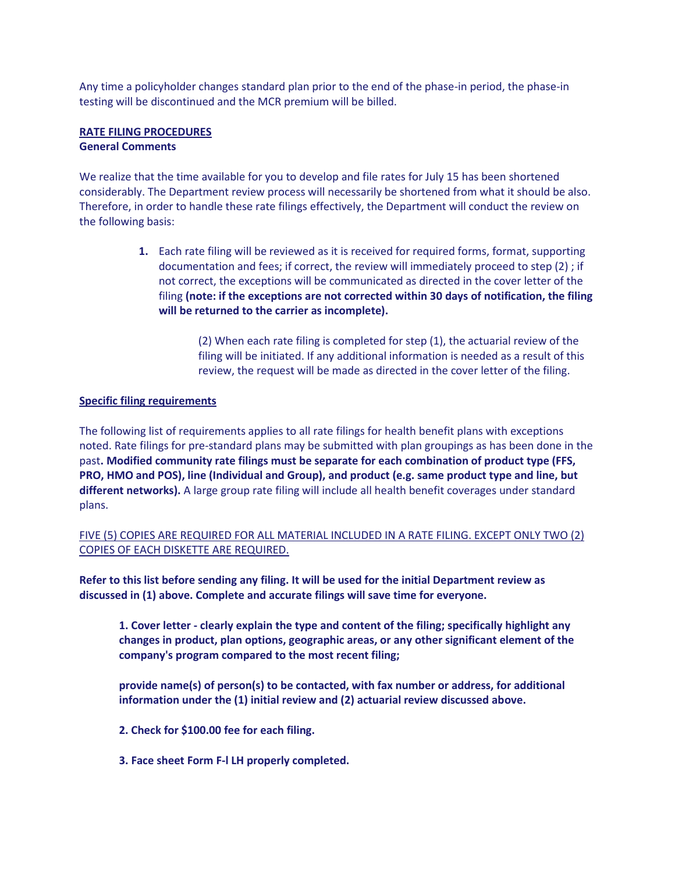Any time a policyholder changes standard plan prior to the end of the phase-in period, the phase-in testing will be discontinued and the MCR premium will be billed.

#### **RATE FILING PROCEDURES General Comments**

We realize that the time available for you to develop and file rates for July 15 has been shortened considerably. The Department review process will necessarily be shortened from what it should be also. Therefore, in order to handle these rate filings effectively, the Department will conduct the review on the following basis:

> **1.** Each rate filing will be reviewed as it is received for required forms, format, supporting documentation and fees; if correct, the review will immediately proceed to step (2) ; if not correct, the exceptions will be communicated as directed in the cover letter of the filing **(note: if the exceptions are not corrected within 30 days of notification, the filing will be returned to the carrier as incomplete).**

> > (2) When each rate filing is completed for step (1), the actuarial review of the filing will be initiated. If any additional information is needed as a result of this review, the request will be made as directed in the cover letter of the filing.

## **Specific filing requirements**

The following list of requirements applies to all rate filings for health benefit plans with exceptions noted. Rate filings for pre-standard plans may be submitted with plan groupings as has been done in the past**. Modified community rate filings must be separate for each combination of product type (FFS, PRO, HMO and POS), line (Individual and Group), and product (e.g. same product type and line, but different networks).** A large group rate filing will include all health benefit coverages under standard plans.

FIVE (5) COPIES ARE REQUIRED FOR ALL MATERIAL INCLUDED IN A RATE FILING. EXCEPT ONLY TWO (2) COPIES OF EACH DISKETTE ARE REQUIRED.

**Refer to this list before sending any filing. It will be used for the initial Department review as discussed in (1) above. Complete and accurate filings will save time for everyone.**

**1. Cover letter - clearly explain the type and content of the filing; specifically highlight any changes in product, plan options, geographic areas, or any other significant element of the company's program compared to the most recent filing;**

**provide name(s) of person(s) to be contacted, with fax number or address, for additional information under the (1) initial review and (2) actuarial review discussed above.**

- **2. Check for \$100.00 fee for each filing.**
- **3. Face sheet Form F-l LH properly completed.**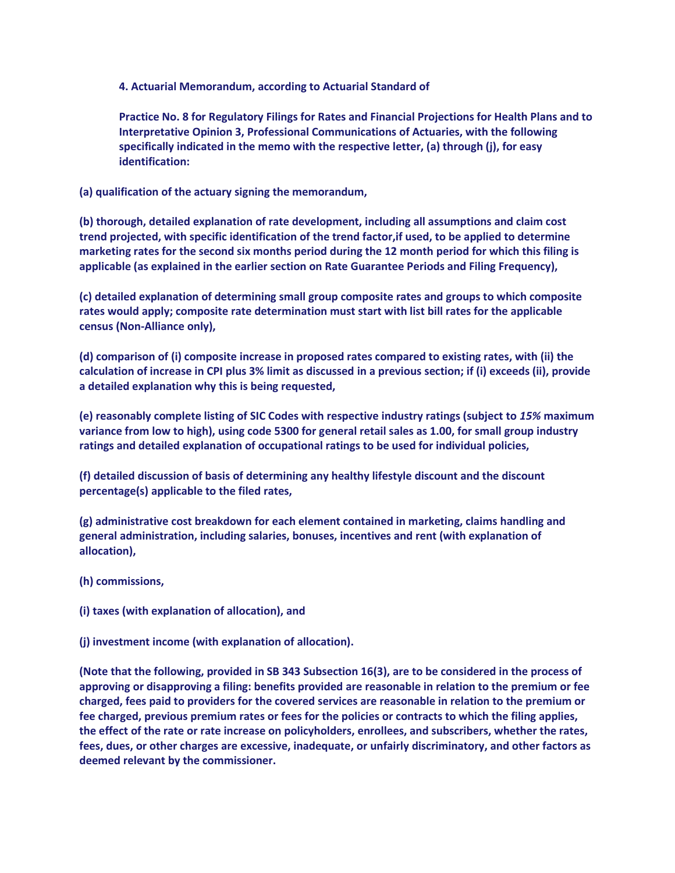**4. Actuarial Memorandum, according to Actuarial Standard of**

**Practice No. 8 for Regulatory Filings for Rates and Financial Projections for Health Plans and to Interpretative Opinion 3, Professional Communications of Actuaries, with the following specifically indicated in the memo with the respective letter, (a) through (j), for easy identification:**

**(a) qualification of the actuary signing the memorandum,**

**(b) thorough, detailed explanation of rate development, including all assumptions and claim cost trend projected, with specific identification of the trend factor,if used, to be applied to determine marketing rates for the second six months period during the 12 month period for which this filing is applicable (as explained in the earlier section on Rate Guarantee Periods and Filing Frequency),**

**(c) detailed explanation of determining small group composite rates and groups to which composite rates would apply; composite rate determination must start with list bill rates for the applicable census (Non-Alliance only),**

**(d) comparison of (i) composite increase in proposed rates compared to existing rates, with (ii) the calculation of increase in CPI plus 3% limit as discussed in a previous section; if (i) exceeds (ii), provide a detailed explanation why this is being requested,**

**(e) reasonably complete listing of SIC Codes with respective industry ratings (subject to** *15%* **maximum variance from low to high), using code 5300 for general retail sales as 1.00, for small group industry ratings and detailed explanation of occupational ratings to be used for individual policies,**

**(f) detailed discussion of basis of determining any healthy lifestyle discount and the discount percentage(s) applicable to the filed rates,**

**(g) administrative cost breakdown for each element contained in marketing, claims handling and general administration, including salaries, bonuses, incentives and rent (with explanation of allocation),**

- **(h) commissions,**
- **(i) taxes (with explanation of allocation), and**
- **(j) investment income (with explanation of allocation).**

**(Note that the following, provided in SB 343 Subsection 16(3), are to be considered in the process of approving or disapproving a filing: benefits provided are reasonable in relation to the premium or fee charged, fees paid to providers for the covered services are reasonable in relation to the premium or fee charged, previous premium rates or fees for the policies or contracts to which the filing applies, the effect of the rate or rate increase on policyholders, enrollees, and subscribers, whether the rates, fees, dues, or other charges are excessive, inadequate, or unfairly discriminatory, and other factors as deemed relevant by the commissioner.**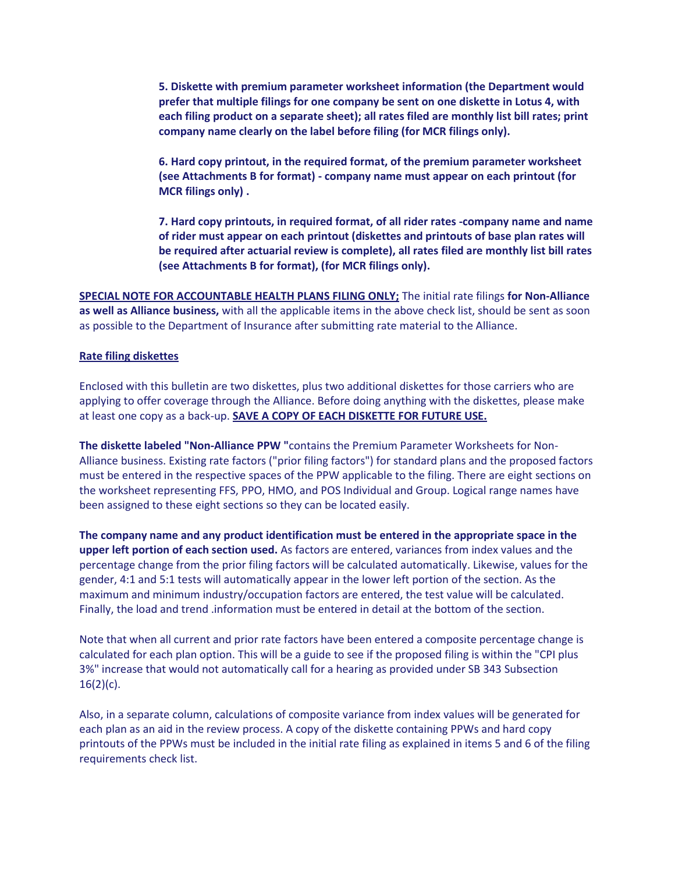**5. Diskette with premium parameter worksheet information (the Department would prefer that multiple filings for one company be sent on one diskette in Lotus 4, with each filing product on a separate sheet); all rates filed are monthly list bill rates; print company name clearly on the label before filing (for MCR filings only).**

**6. Hard copy printout, in the required format, of the premium parameter worksheet (see Attachments B for format) - company name must appear on each printout (for MCR filings only) .**

**7. Hard copy printouts, in required format, of all rider rates -company name and name of rider must appear on each printout (diskettes and printouts of base plan rates will be required after actuarial review is complete), all rates filed are monthly list bill rates (see Attachments B for format), (for MCR filings only).**

**SPECIAL NOTE FOR ACCOUNTABLE HEALTH PLANS FILING ONLY;** The initial rate filings **for Non-Alliance as well as Alliance business,** with all the applicable items in the above check list, should be sent as soon as possible to the Department of Insurance after submitting rate material to the Alliance.

#### **Rate filing diskettes**

Enclosed with this bulletin are two diskettes, plus two additional diskettes for those carriers who are applying to offer coverage through the Alliance. Before doing anything with the diskettes, please make at least one copy as a back-up. **SAVE A COPY OF EACH DISKETTE FOR FUTURE USE.**

**The diskette labeled "Non-Alliance PPW "**contains the Premium Parameter Worksheets for Non-Alliance business. Existing rate factors ("prior filing factors") for standard plans and the proposed factors must be entered in the respective spaces of the PPW applicable to the filing. There are eight sections on the worksheet representing FFS, PPO, HMO, and POS Individual and Group. Logical range names have been assigned to these eight sections so they can be located easily.

**The company name and any product identification must be entered in the appropriate space in the upper left portion of each section used.** As factors are entered, variances from index values and the percentage change from the prior filing factors will be calculated automatically. Likewise, values for the gender, 4:1 and 5:1 tests will automatically appear in the lower left portion of the section. As the maximum and minimum industry/occupation factors are entered, the test value will be calculated. Finally, the load and trend .information must be entered in detail at the bottom of the section.

Note that when all current and prior rate factors have been entered a composite percentage change is calculated for each plan option. This will be a guide to see if the proposed filing is within the "CPI plus 3%" increase that would not automatically call for a hearing as provided under SB 343 Subsection  $16(2)(c)$ .

Also, in a separate column, calculations of composite variance from index values will be generated for each plan as an aid in the review process. A copy of the diskette containing PPWs and hard copy printouts of the PPWs must be included in the initial rate filing as explained in items 5 and 6 of the filing requirements check list.